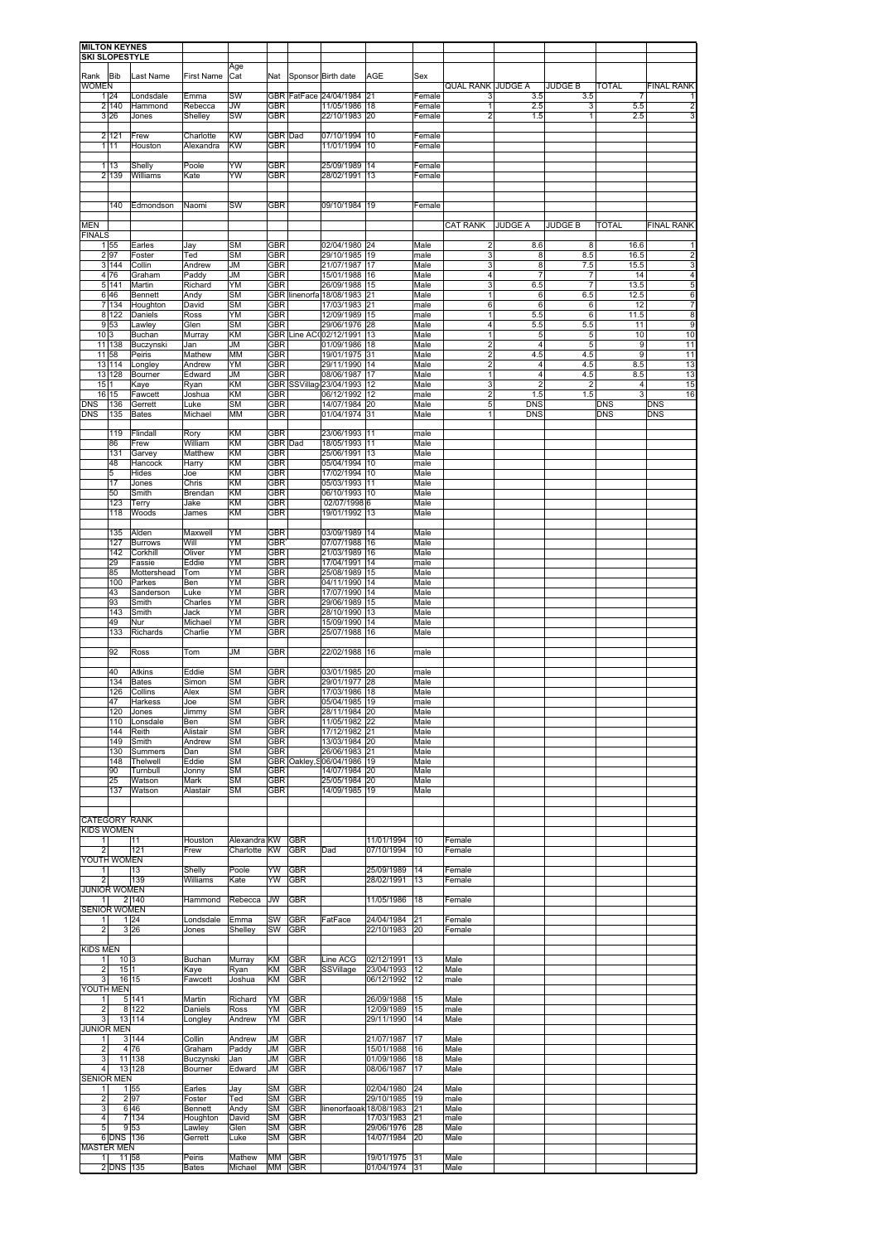| <b>MILTON KEYNES</b>                    |             |                         |                        |                        |                          |                          |                                       |                             |              |                              |                          |                       |                   |                       |                          |
|-----------------------------------------|-------------|-------------------------|------------------------|------------------------|--------------------------|--------------------------|---------------------------------------|-----------------------------|--------------|------------------------------|--------------------------|-----------------------|-------------------|-----------------------|--------------------------|
| <b>SKI SLOPESTYLE</b>                   |             |                         |                        | Age                    |                          |                          |                                       |                             |              |                              |                          |                       |                   |                       |                          |
| Rank Bib                                |             | Last Name               | First Name             | Cat                    | Nat                      |                          | Sponsor Birth date                    | AGE                         | Sex          |                              |                          |                       |                   |                       |                          |
| <b>WOMEN</b>                            | 1 24        | Londsdale               | Emma                   | SW                     | GBR                      |                          | FatFace 24/04/1984                    | 21                          | Female       | QUAL RANK<br>3               | <b>JUDGE A</b><br>3.5    | <b>JUDGE B</b><br>3.5 | <b>TOTAL</b>      | 7                     | <b>FINAL RANK</b><br>1   |
|                                         | 2 140       | Hammond                 | Rebecca                | JW                     | GBR                      |                          | 11/05/1986                            | 18                          | Female       | 1                            | 2.5                      | 3                     |                   | 5.5                   | 2                        |
|                                         | 3 26        | Jones                   | Shelley                | SW                     | <b>GBR</b>               |                          | 22/10/1983                            | 20                          | Female       | 2                            | 1.5                      | 1                     |                   | 2.5                   | 3                        |
|                                         | 2 121       | Frew                    | Charlotte              | KW                     | GBR Dad                  |                          | 07/10/1994                            | 10                          | Female       |                              |                          |                       |                   |                       |                          |
| 1                                       | 11          | Houston                 | Alexandra              | KW                     | GBR                      |                          | 11/01/1994                            | 10                          | Female       |                              |                          |                       |                   |                       |                          |
| 1                                       | 13          | Shelly                  | Poole                  | YW                     | GBR                      |                          | 25/09/1989                            | 14                          | Female       |                              |                          |                       |                   |                       |                          |
|                                         | 2 1 3 9     | Williams                | Kate                   | YW                     | <b>GBR</b>               |                          | 28/02/1991                            | 13                          | Female       |                              |                          |                       |                   |                       |                          |
|                                         |             |                         |                        |                        |                          |                          |                                       |                             |              |                              |                          |                       |                   |                       |                          |
|                                         | 140         | Edmondson               | Naomi                  | SW                     | <b>GBR</b>               |                          | 09/10/1984                            | 19                          | Female       |                              |                          |                       |                   |                       |                          |
|                                         |             |                         |                        |                        |                          |                          |                                       |                             |              |                              |                          |                       |                   |                       |                          |
| <b>MEN</b><br><b>FINALS</b>             |             |                         |                        |                        |                          |                          |                                       |                             |              | <b>CAT RANK</b>              | <b>JUDGE A</b>           | <b>JUDGE B</b>        | TOTAL             |                       | <b>FINAL RANK</b>        |
|                                         | 1 55        | Earles                  | Jay                    | <b>SM</b>              | GBR                      |                          | 02/04/1980                            | 24                          | Male         | $\overline{2}$               | 8.6                      | 8                     | 16.6              |                       | $\mathbf{1}$             |
|                                         | 2 97        | Foster                  | Ted                    | SM                     | GBR                      |                          | 29/10/1985                            | 19                          | male         | 3                            | 8                        | 8.5                   | 16.5              |                       | 2                        |
| 4 <sup>1</sup>                          | 3 144<br>76 | Collin<br>Graham        | Andrew<br>Paddy        | JM<br><b>JM</b>        | GBR<br>GBR               |                          | 21/07/1987<br>15/01/1988              | 17<br>16                    | Male<br>Male | 3<br>4                       | 8<br>$\overline{7}$      | 7.5<br>7              | 15.5              | 14                    | 3<br>$\overline{4}$      |
| 5                                       | 141         | Martin                  | Richard                | YΜ                     | GBR                      |                          | 26/09/1988                            | 15                          | Male         | 3                            | 6.5                      |                       | 13.5              |                       | 5                        |
| 6                                       | 46          | Bennett                 | Andy                   | SM                     |                          |                          | GBR linenorfa 18/08/1983              | 21                          | Male         | 1                            | 6                        | 6.5                   | 12.5              |                       | 6                        |
| 7<br>8                                  | 134<br>122  | Houghton<br>Daniels     | David<br>Ross          | SM<br>YΜ               | GBR<br>GBR               |                          | 17/03/1983<br>12/09/1989              | 21<br>15                    | male<br>male | 6<br>1                       | 6<br>5.5                 | 6<br>6                | 11.5              | 12                    | 7<br>8                   |
| 9                                       | 53          | Lawley                  | Glen                   | <b>SM</b>              | GBR                      |                          | 29/06/1976                            | 28                          | Male         | 4                            | 5.5                      | 5.5                   |                   | 11                    | 9                        |
| 10<br>11                                | 3<br>138    | Buchan<br>Buczynski     | Murray<br>Jan          | ΚM<br>JM               | GBR                      |                          | GBR Line AC002/12/1991<br>01/09/1986  | 13<br>18                    | Male<br>Male | 1<br>$\overline{\mathbf{c}}$ | 5<br>$\overline{4}$      | 5<br>5                |                   | 10<br>9               | 10<br>11                 |
| 11                                      | 58          | Peiris                  | Mathew                 | <b>MM</b>              | GBR                      |                          | 19/01/1975                            | 31                          | Male         | $\overline{2}$               | 4.5                      | 4.5                   |                   | 9                     | 11                       |
| 13                                      | 114         | Longley                 | Andrew                 | YΜ                     | GBR                      |                          | 29/11/1990                            | 14                          | Male         | 2                            | 4                        | 4.5                   |                   | 8.5                   | 13                       |
| 13<br>15                                | 128         | Bourner<br>Kaye         | Edward<br>Ryan         | JM<br>ΚM               | GBR<br><b>GBR</b>        |                          | 08/06/1987<br>SSVillag 23/04/1993     | 17<br>12                    | Male<br>Male | 1<br>3                       | 4<br>$\overline{2}$      | 4.5<br>$\overline{c}$ |                   | 8.5<br>$\overline{4}$ | 13<br>15                 |
| 16                                      | 15          | Fawcett                 | Joshua                 | KM                     | GBR                      |                          | 06/12/1992                            | 12                          | male         | 2                            | 1.5                      | 1.5                   |                   | 3                     | 16                       |
| <b>DNS</b><br><b>DNS</b>                | 136<br>135  | Gerrett<br><b>Bates</b> | Luke<br>Michael        | <b>SM</b><br>MM        | <b>GBR</b><br><b>GBR</b> |                          | 14/07/1984<br>01/04/1974              | 20<br>31                    | Male<br>Male | 5<br>1                       | <b>DNS</b><br><b>DNS</b> |                       | DNS<br><b>DNS</b> |                       | <b>DNS</b><br><b>DNS</b> |
|                                         |             |                         |                        |                        |                          |                          |                                       |                             |              |                              |                          |                       |                   |                       |                          |
|                                         | 119         | Flindal                 | Rory                   | <b>KM</b>              | GBR                      |                          | 23/06/1993                            | 11                          | male         |                              |                          |                       |                   |                       |                          |
|                                         | 86<br>131   | Frew<br>Garvey          | William<br>Matthew     | KM<br>KM               | <b>GBR</b><br>GBR        | Dad                      | 18/05/1993<br>25/06/1991              | 11<br>13                    | Male<br>Male |                              |                          |                       |                   |                       |                          |
|                                         | 48          | Hancock                 | Harry                  | ΚM                     | <b>GBR</b>               |                          | 05/04/1994                            | 10                          | male         |                              |                          |                       |                   |                       |                          |
|                                         | 5           | Hides                   | Joe                    | KM<br>KM               | GBR                      |                          | 17/02/1994                            | 10                          | Male<br>Male |                              |                          |                       |                   |                       |                          |
|                                         | 17<br>50    | Jones<br>Smith          | Chris<br>Brendan       | <b>KM</b>              | <b>GBR</b><br>GBR        |                          | 05/03/1993<br>06/10/1993              | 11<br>10                    | Male         |                              |                          |                       |                   |                       |                          |
|                                         | 123         | Terry                   | Jake                   | KM                     | GBR                      |                          | 02/07/1998                            | 6                           | Male         |                              |                          |                       |                   |                       |                          |
|                                         | 118         | Woods                   | James                  | <b>KM</b>              | GBR                      |                          | 19/01/1992                            | 13                          | Male         |                              |                          |                       |                   |                       |                          |
|                                         | 135         | Alden                   | Maxwell                | YΜ                     | <b>GBR</b>               |                          | 03/09/1989                            | 14                          | Male         |                              |                          |                       |                   |                       |                          |
|                                         | 127         | <b>Burrows</b>          | Will                   | ΥM                     | <b>GBR</b>               |                          | 07/07/1988                            | 16                          | Male         |                              |                          |                       |                   |                       |                          |
|                                         | 142<br>29   | Corkhill<br>Fassie      | Oliver<br>Eddie        | YΜ<br>ΥM               | GBR<br>GBR               |                          | 21/03/1989<br>17/04/1991              | 16<br>14                    | Male<br>male |                              |                          |                       |                   |                       |                          |
|                                         | 85          | Mottershead             | Tom                    | ΥM                     | GBR                      |                          | 25/08/1989                            | 15                          | Male         |                              |                          |                       |                   |                       |                          |
|                                         | 100<br>43   | Parkes<br>Sanderson     | Ben<br>Luke            | ΥM<br>YΜ               | GBR<br>GBR               |                          | 04/11/1990<br>17/07/1990              | 14<br>14                    | Male<br>Male |                              |                          |                       |                   |                       |                          |
|                                         | 93          | Smith                   | Charles                | ΥM                     | GBR                      |                          | 29/06/1989                            | 15                          | Male         |                              |                          |                       |                   |                       |                          |
|                                         | 143         | Smith                   | Jack                   | YΜ                     | GBR                      |                          | 28/10/1990                            | 13                          | Male         |                              |                          |                       |                   |                       |                          |
|                                         | 49<br>133   | Nur<br>Richards         | Michael<br>Charlie     | ΥM<br>YM               | GBR<br>GBR               |                          | 15/09/1990<br>25/07/1988              | 14<br>16                    | Male<br>Male |                              |                          |                       |                   |                       |                          |
|                                         |             |                         |                        |                        |                          |                          |                                       |                             |              |                              |                          |                       |                   |                       |                          |
|                                         | 92          | Ross                    | Tom                    | JM                     | <b>GBR</b>               |                          | 22/02/1988                            | 16                          | male         |                              |                          |                       |                   |                       |                          |
|                                         | 40          | Atkins                  | Eddie                  | SM                     | GBR                      |                          | 03/01/1985                            | 20                          | male         |                              |                          |                       |                   |                       |                          |
|                                         | 134         | <b>Bates</b>            | Simor                  | SM                     | GBR                      |                          | 29/01/1977                            | 28                          | Male         |                              |                          |                       |                   |                       |                          |
|                                         | 126         | Collins                 | Alex                   | <b>SM</b>              | <b>GBR</b><br>GBR        |                          | 17/03/1986<br>05/04/1985              | 18<br>19                    | Male         |                              |                          |                       |                   |                       |                          |
|                                         | 47<br>120   | Harke:<br>Jones         | JUE<br>Jimmy           | SM<br><b>SM</b>        | <b>GBR</b>               |                          | 28/11/1984 20                         |                             | пас<br>Male  |                              |                          |                       |                   |                       |                          |
|                                         | 110         | Lonsdale                | Ben                    | <b>SM</b>              | GBR                      |                          | 11/05/1982 22                         |                             | Male         |                              |                          |                       |                   |                       |                          |
|                                         | 144<br>149  | Reith<br>Smith          | Alistair<br>Andrew     | <b>SM</b><br><b>SM</b> | GBR<br><b>GBR</b>        |                          | 17/12/1982 21<br>13/03/1984 20        |                             | Male<br>Male |                              |                          |                       |                   |                       |                          |
|                                         | 130         | Summers                 | Dan                    | <b>SM</b>              | <b>GBR</b>               |                          | 26/06/1983                            | 21                          | Male         |                              |                          |                       |                   |                       |                          |
|                                         | 148<br>90   | Thelwell<br>Turnbull    | Eddie<br>Jonny         | <b>SM</b><br><b>SM</b> | GBR                      |                          | GBR Oakley, 906/04/1986<br>14/07/1984 | 19<br>20                    | Male<br>Male |                              |                          |                       |                   |                       |                          |
|                                         | 25          | Watson                  | Mark                   | SM                     | GBR                      |                          | 25/05/1984                            | 20                          | Male         |                              |                          |                       |                   |                       |                          |
|                                         | 137         | Watson                  | Alastair               | SM                     | GBR                      |                          | 14/09/1985                            | 19                          | Male         |                              |                          |                       |                   |                       |                          |
|                                         |             |                         |                        |                        |                          |                          |                                       |                             |              |                              |                          |                       |                   |                       |                          |
| CATEGORY RANK                           |             |                         |                        |                        |                          |                          |                                       |                             |              |                              |                          |                       |                   |                       |                          |
| <b>KIDS WOMEN</b>                       |             |                         |                        | Alexandra KW           |                          | GBR                      |                                       | 11/01/1994                  | 10           |                              |                          |                       |                   |                       |                          |
| $\mathbf{1}$<br>$\overline{\mathbf{c}}$ |             | 11<br>121               | Houston<br>Frew        | Charlotte              | KW                       | GBR                      | Dad                                   | 07/10/1994                  | 10           | Female<br>Female             |                          |                       |                   |                       |                          |
| YOUTH WOMEN                             |             |                         |                        |                        |                          |                          |                                       |                             |              |                              |                          |                       |                   |                       |                          |
| 1<br>2                                  |             | 13<br>139               | Shelly<br>Williams     | Poole<br>Kate          | YW<br>YW                 | <b>GBR</b><br><b>GBR</b> |                                       | 25/09/1989<br>28/02/1991    | 14<br>13     | Female<br>Female             |                          |                       |                   |                       |                          |
| <b>JUNIOR WOMEN</b>                     |             |                         |                        |                        |                          |                          |                                       |                             |              |                              |                          |                       |                   |                       |                          |
| 1<br><b>SENIOR WOMEN</b>                |             | 2 140                   | Hammond                | Rebecca                | JW                       | GBR                      |                                       | 11/05/1986                  | 18           | Female                       |                          |                       |                   |                       |                          |
| 1                                       |             | 124                     | Londsdale              | Emma                   | SW                       | GBR                      | FatFace                               | 24/04/1984                  | 21           | Female                       |                          |                       |                   |                       |                          |
| $\overline{2}$                          |             | 3 26                    | Jones                  | Shelley                | SW                       | <b>GBR</b>               |                                       | 22/10/1983                  | 20           | Female                       |                          |                       |                   |                       |                          |
| <b>KIDS MEN</b>                         |             |                         |                        |                        |                          |                          |                                       |                             |              |                              |                          |                       |                   |                       |                          |
| 1                                       | 10 3        |                         | Buchan                 | Murray                 | ΚM                       | <b>GBR</b>               | Line ACG                              | 02/12/1991                  | 13           | Male                         |                          |                       |                   |                       |                          |
| $\overline{\mathbf{c}}$                 | 15 1        |                         | Kaye                   | Ryan                   | KM                       | <b>GBR</b>               | SSVillage                             | 23/04/1993                  | 12           | Male                         |                          |                       |                   |                       |                          |
| 3<br>YOUTH MEN                          |             | 16 15                   | Fawcett                | Joshua                 | KM                       | <b>GBR</b>               |                                       | 06/12/1992                  | 12           | male                         |                          |                       |                   |                       |                          |
| 1                                       |             | 5 141                   | Martin                 | Richard                | ΥM                       | GBR                      |                                       | 26/09/1988                  | 15           | Male                         |                          |                       |                   |                       |                          |
| $\overline{2}$<br>3                     |             | 8 122<br>13 114         | Daniels<br>Longley     | Ross<br>Andrew         | YΜ<br>YM                 | <b>GBR</b><br><b>GBR</b> |                                       | 12/09/1989<br>29/11/1990    | 15<br>14     | male<br>Male                 |                          |                       |                   |                       |                          |
| <b>JUNIOR MEN</b>                       |             |                         |                        |                        |                          |                          |                                       |                             |              |                              |                          |                       |                   |                       |                          |
| 1                                       |             | 3 144                   | Collin                 | Andrew                 | JM                       | <b>GBR</b>               |                                       | 21/07/1987                  | 17           | Male                         |                          |                       |                   |                       |                          |
| 2<br>3                                  |             | 476<br>11 138           | Graham<br>Buczynski    | Paddy<br>Jan           | JM<br><b>JM</b>          | GBR<br>GBR               |                                       | 15/01/1988<br>01/09/1986    | 16<br>18     | Male<br>Male                 |                          |                       |                   |                       |                          |
| 4                                       |             | 13 128                  | Bourner                | Edward                 | JM                       | <b>GBR</b>               |                                       | 08/06/1987                  | 17           | Male                         |                          |                       |                   |                       |                          |
| <b>SENIOR MEN</b>                       |             |                         |                        |                        |                          |                          |                                       |                             |              |                              |                          |                       |                   |                       |                          |
| 1<br>$\overline{2}$                     |             | 155<br>297              | Earles<br>Foster       | Jay<br>Ted             | SM<br><b>SM</b>          | GBR<br><b>GBR</b>        |                                       | 02/04/1980<br>29/10/1985    | 24<br>19     | Male<br>male                 |                          |                       |                   |                       |                          |
| 3                                       |             | 646                     | Bennett                | Andy                   | SM                       | <b>GBR</b>               | linenorfaoak                          | 18/08/1983                  | 21           | Male                         |                          |                       |                   |                       |                          |
| 4<br>5                                  | 7           | 134<br>9 53             | Houghton<br>Lawley     | David<br>Glen          | SM<br>SM                 | GBR<br><b>GBR</b>        |                                       | 17/03/1983<br>29/06/1976    | 21<br>28     | male<br>Male                 |                          |                       |                   |                       |                          |
|                                         | 6 DNS 136   |                         | Gerrett                | Luke                   | <b>SM</b>                | GBR                      |                                       | 14/07/1984                  | 20           | Male                         |                          |                       |                   |                       |                          |
| <b>MASTER MEN</b>                       |             |                         |                        |                        |                          |                          |                                       |                             |              |                              |                          |                       |                   |                       |                          |
| $\mathbf{1}$                            | 2 DNS 135   | 11 58                   | Peiris<br><b>Bates</b> | Mathew<br>Michael      | МM<br>MM GBR             | <b>GBR</b>               |                                       | 19/01/1975<br>01/04/1974 31 | 31           | Male<br>Male                 |                          |                       |                   |                       |                          |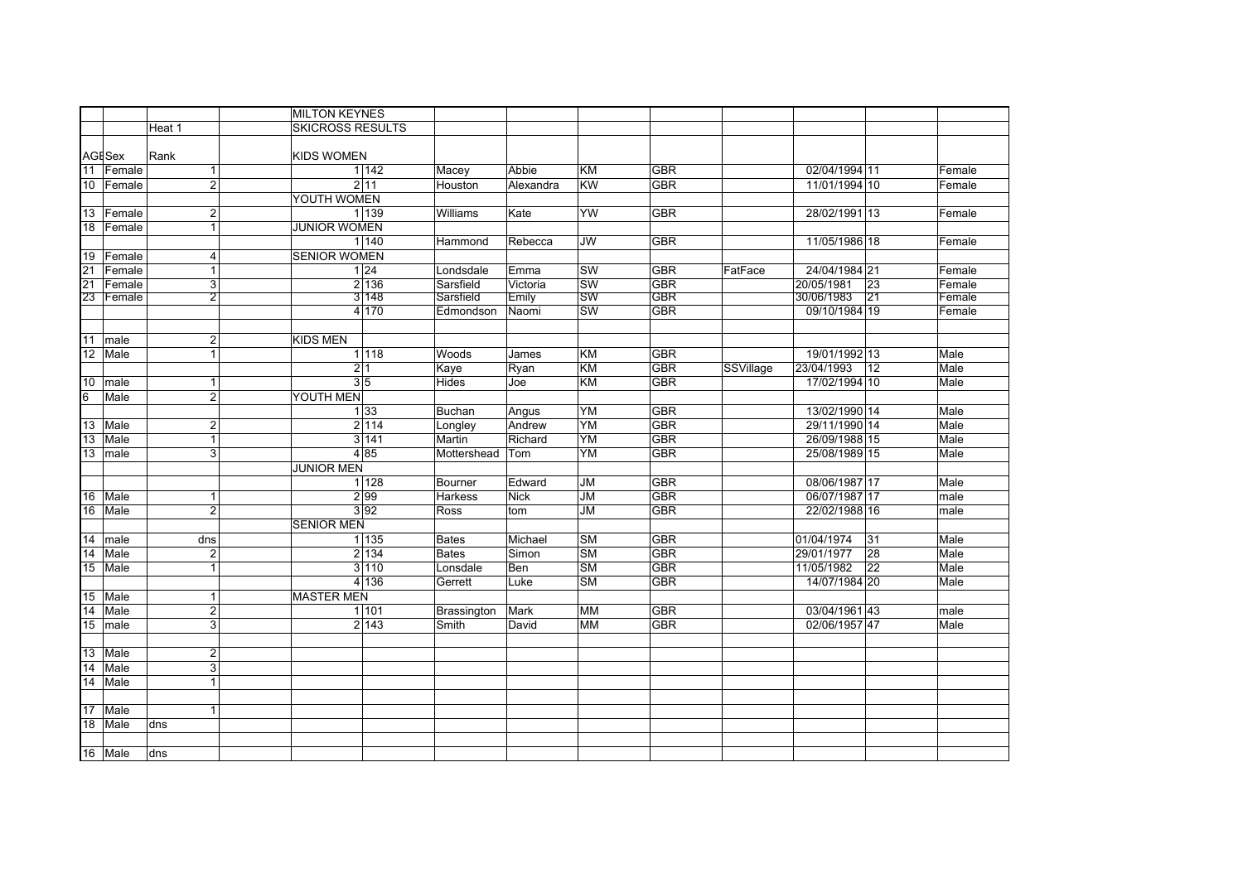|                 |               |                  | <b>MILTON KEYNES</b>    |                |             |                          |            |           |                   |        |
|-----------------|---------------|------------------|-------------------------|----------------|-------------|--------------------------|------------|-----------|-------------------|--------|
|                 |               | Heat 1           | <b>SKICROSS RESULTS</b> |                |             |                          |            |           |                   |        |
|                 |               |                  |                         |                |             |                          |            |           |                   |        |
|                 | <b>AGESex</b> | Rank             | <b>KIDS WOMEN</b>       |                |             |                          |            |           |                   |        |
| 11              | Female        | $\mathbf{1}$     | 1142                    | Macey          | Abbie       | <b>KM</b>                | <b>GBR</b> |           | 02/04/1994 11     | Female |
|                 | 10 Female     | $\overline{2}$   | 2 11                    | Houston        | Alexandra   | <b>KW</b>                | <b>GBR</b> |           | 11/01/1994 10     | Female |
|                 |               |                  | YOUTH WOMEN             |                |             |                          |            |           |                   |        |
|                 | 13 Female     | $\overline{2}$   | 1 1 3 9                 | Williams       | Kate        | <b>YW</b>                | <b>GBR</b> |           | 28/02/1991 13     | Female |
|                 | 18 Female     | $\mathbf{1}$     | <b>JUNIOR WOMEN</b>     |                |             |                          |            |           |                   |        |
|                 |               |                  | 1 140                   | Hammond        | Rebecca     | <b>JW</b>                | GBR        |           | 11/05/1986 18     | Female |
| 19              | Female        | 4                | <b>SENIOR WOMEN</b>     |                |             |                          |            |           |                   |        |
| 21              | Female        | 1                | 1 24                    | Londsdale      | Emma        | SW                       | <b>GBR</b> | FatFace   | 24/04/1984 21     | Female |
| $\overline{21}$ | Female        | 3                | 2 136                   | Sarsfield      | Victoria    | <b>SW</b>                | <b>GBR</b> |           | 20/05/1981<br>23  | Female |
|                 | 23 Female     | $\overline{2}$   | 3 148                   | Sarsfield      | Emily       | SW                       | <b>GBR</b> |           | 30/06/1983<br> 21 | Female |
|                 |               |                  | 4 170                   | Edmondson      | Naomi       | $\overline{\text{SW}}$   | <b>GBR</b> |           | 09/10/1984 19     | Female |
|                 |               |                  |                         |                |             |                          |            |           |                   |        |
| 11              | male          | $\overline{2}$   | <b>KIDS MEN</b>         |                |             |                          |            |           |                   |        |
| 12              | Male          | 1                | 1 118                   | Woods          | James       | KM                       | <b>GBR</b> |           | 19/01/1992 13     | Male   |
|                 |               |                  | 2 1                     | Kaye           | Ryan        | <b>KM</b>                | GBR        | SSVillage | 23/04/1993<br>12  | Male   |
| 10              | male          | $\overline{1}$   | $3\overline{5}$         | Hides          | Joe         | <b>KM</b>                | <b>GBR</b> |           | 17/02/1994 10     | Male   |
| 6               | Male          | $\overline{2}$   | YOUTH MEN               |                |             |                          |            |           |                   |        |
|                 |               |                  | 1 33                    | Buchan         | Angus       | YM                       | <b>GBR</b> |           | 13/02/1990 14     | Male   |
| 13              | Male          | $\boldsymbol{2}$ | 2 114                   | Longley        | Andrew      | $\overline{YM}$          | GBR        |           | 29/11/1990 14     | Male   |
| 13              | Male          | $\overline{1}$   | 3 141                   | Martin         | Richard     | $\overline{YM}$          | <b>GBR</b> |           | 26/09/1988 15     | Male   |
| 13              | male          | $\mathbf{3}$     | 485                     | Mottershead    | Tom         | YM                       | <b>GBR</b> |           | 25/08/1989 15     | Male   |
|                 |               |                  | <b>JUNIOR MEN</b>       |                |             |                          |            |           |                   |        |
|                 |               |                  | 1 1 28                  | Bourner        | Edward      | <b>JM</b>                | GBR        |           | 08/06/1987 17     | Male   |
| 16              | Male          | $\overline{1}$   | 2 9 9                   | <b>Harkess</b> | <b>Nick</b> | $\overline{\mathsf{JM}}$ | <b>GBR</b> |           | 06/07/1987 17     | male   |
| 16              | Male          | $\overline{2}$   | 3 9 2                   | Ross           | tom         | <b>JM</b>                | <b>GBR</b> |           | 22/02/1988 16     | male   |
|                 |               |                  | <b>SENIOR MEN</b>       |                |             |                          |            |           |                   |        |
| 14              | Imale         | dns              | 1 1 3 5                 | <b>Bates</b>   | Michael     | <b>SM</b>                | <b>GBR</b> |           | 01/04/1974<br>31  | Male   |
| 14              | Male          | $\overline{2}$   | 2 134                   | <b>Bates</b>   | Simon       | <b>SM</b>                | <b>GBR</b> |           | 28<br>29/01/1977  | Male   |
| 15              | Male          | $\overline{1}$   | 3 110                   | Lonsdale       | Ben         | <b>SM</b>                | <b>GBR</b> |           | 22<br>11/05/1982  | Male   |
|                 |               |                  | 4 136                   | Gerrett        | Luke        | <b>SM</b>                | <b>GBR</b> |           | 14/07/1984 20     | Male   |
| 15              | Male          | $\mathbf{1}$     | <b>MASTER MEN</b>       |                |             |                          |            |           |                   |        |
| 14              | Male          | $\overline{2}$   | 1 101                   | Brassington    | Mark        | <b>MM</b>                | GBR        |           | 03/04/1961 43     | male   |
| 15              | male          | 3                | 2 143                   | Smith          | David       | MM                       | <b>GBR</b> |           | 02/06/1957 47     | Male   |
|                 |               |                  |                         |                |             |                          |            |           |                   |        |
| 13              | Male          | $\overline{2}$   |                         |                |             |                          |            |           |                   |        |
| 14              | Male          | $\mathbf{3}$     |                         |                |             |                          |            |           |                   |        |
| 14              | Male          | $\mathbf{1}$     |                         |                |             |                          |            |           |                   |        |
|                 |               |                  |                         |                |             |                          |            |           |                   |        |
| 17              | Male          | $\mathbf{1}$     |                         |                |             |                          |            |           |                   |        |
| 18              | Male          | dns              |                         |                |             |                          |            |           |                   |        |
|                 |               |                  |                         |                |             |                          |            |           |                   |        |
|                 | 16 Male       | dns              |                         |                |             |                          |            |           |                   |        |